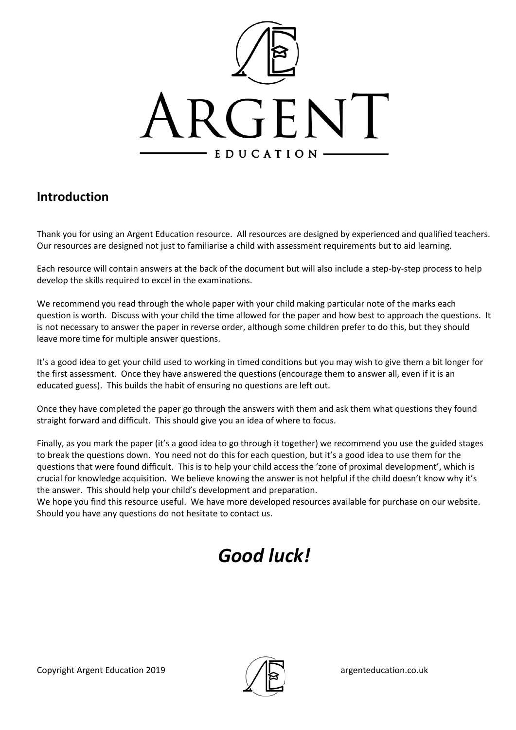

### **Introduction**

Thank you for using an Argent Education resource. All resources are designed by experienced and qualified teachers. Our resources are designed not just to familiarise a child with assessment requirements but to aid learning.

Each resource will contain answers at the back of the document but will also include a step-by-step process to help develop the skills required to excel in the examinations.

We recommend you read through the whole paper with your child making particular note of the marks each question is worth. Discuss with your child the time allowed for the paper and how best to approach the questions. It is not necessary to answer the paper in reverse order, although some children prefer to do this, but they should leave more time for multiple answer questions.

It's a good idea to get your child used to working in timed conditions but you may wish to give them a bit longer for the first assessment. Once they have answered the questions (encourage them to answer all, even if it is an educated guess). This builds the habit of ensuring no questions are left out.

Once they have completed the paper go through the answers with them and ask them what questions they found straight forward and difficult. This should give you an idea of where to focus.

Finally, as you mark the paper (it's a good idea to go through it together) we recommend you use the guided stages to break the questions down. You need not do this for each question, but it's a good idea to use them for the questions that were found difficult. This is to help your child access the 'zone of proximal development', which is crucial for knowledge acquisition. We believe knowing the answer is not helpful if the child doesn't know why it's the answer. This should help your child's development and preparation.

We hope you find this resource useful. We have more developed resources available for purchase on our website. Should you have any questions do not hesitate to contact us.

# *Good luck!*

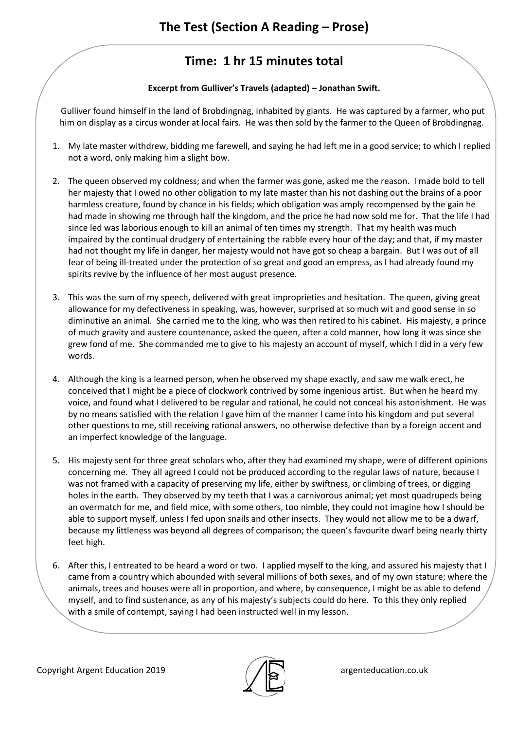## **Time: 1 hr 15 minutes total**

#### **Excerpt from Gulliver's Travels (adapted) – Jonathan Swift.**

Gulliver found himself in the land of Brobdingnag, inhabited by giants. He was captured by a farmer, who put him on display as a circus wonder at local fairs. He was then sold by the farmer to the Queen of Brobdingnag.

- 1. My late master withdrew, bidding me farewell, and saying he had left me in a good service; to which I replied not a word, only making him a slight bow.
- 2. The queen observed my coldness; and when the farmer was gone, asked me the reason. I made bold to tell her majesty that I owed no other obligation to my late master than his not dashing out the brains of a poor harmless creature, found by chance in his fields; which obligation was amply recompensed by the gain he had made in showing me through half the kingdom, and the price he had now sold me for. That the life I had since led was laborious enough to kill an animal of ten times my strength. That my health was much impaired by the continual drudgery of entertaining the rabble every hour of the day; and that, if my master had not thought my life in danger, her majesty would not have got so cheap a bargain. But I was out of all fear of being ill-treated under the protection of so great and good an empress, as I had already found my spirits revive by the influence of her most august presence.
- 3. This was the sum of my speech, delivered with great improprieties and hesitation. The queen, giving great allowance for my defectiveness in speaking, was, however, surprised at so much wit and good sense in so diminutive an animal. She carried me to the king, who was then retired to his cabinet. His majesty, a prince of much gravity and austere countenance, asked the queen, after a cold manner, how long it was since she grew fond of me. She commanded me to give to his majesty an account of myself, which I did in a very few words.
- 4. Although the king is a learned person, when he observed my shape exactly, and saw me walk erect, he conceived that I might be a piece of clockwork contrived by some ingenious artist. But when he heard my voice, and found what I delivered to be regular and rational, he could not conceal his astonishment. He was by no means satisfied with the relation I gave him of the manner I came into his kingdom and put several other questions to me, still receiving rational answers, no otherwise defective than by a foreign accent and an imperfect knowledge of the language.
- 5. His majesty sent for three great scholars who, after they had examined my shape, were of different opinions concerning me. They all agreed I could not be produced according to the regular laws of nature, because I was not framed with a capacity of preserving my life, either by swiftness, or climbing of trees, or digging holes in the earth. They observed by my teeth that I was a carnivorous animal; yet most quadrupeds being an overmatch for me, and field mice, with some others, too nimble, they could not imagine how I should be able to support myself, unless I fed upon snails and other insects. They would not allow me to be a dwarf, because my littleness was beyond all degrees of comparison; the queen's favourite dwarf being nearly thirty feet high.
- 6. After this, I entreated to be heard a word or two. I applied myself to the king, and assured his majesty that I came from a country which abounded with several millions of both sexes, and of my own stature; where the animals, trees and houses were all in proportion, and where, by consequence, I might be as able to defend myself, and to find sustenance, as any of his majesty's subjects could do here. To this they only replied with a smile of contempt, saying I had been instructed well in my lesson.

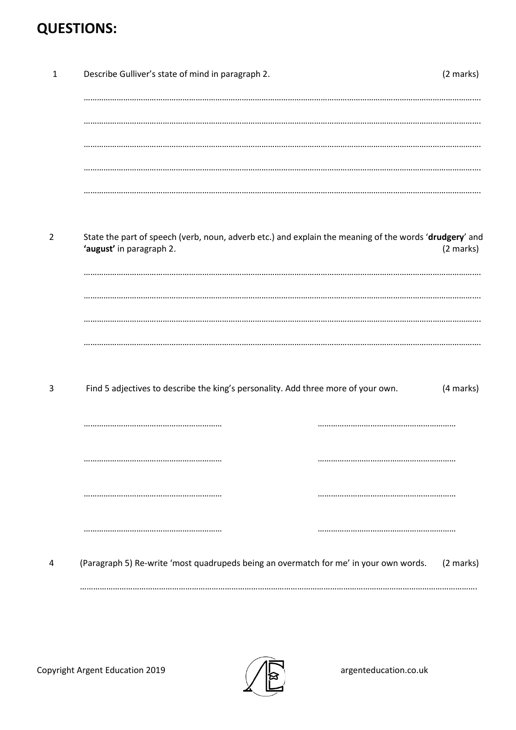## **QUESTIONS:**

| 1              | Describe Gulliver's state of mind in paragraph 2.                                                                                  | (2 marks) |
|----------------|------------------------------------------------------------------------------------------------------------------------------------|-----------|
|                |                                                                                                                                    |           |
|                |                                                                                                                                    |           |
|                |                                                                                                                                    |           |
|                |                                                                                                                                    |           |
| $\overline{2}$ | State the part of speech (verb, noun, adverb etc.) and explain the meaning of the words 'drudgery' and<br>'august' in paragraph 2. | (2 marks) |
|                |                                                                                                                                    |           |
|                |                                                                                                                                    |           |
|                |                                                                                                                                    |           |
| 3              | Find 5 adjectives to describe the king's personality. Add three more of your own.                                                  | (4 marks) |
|                |                                                                                                                                    |           |
|                |                                                                                                                                    |           |
|                |                                                                                                                                    |           |
|                |                                                                                                                                    |           |
| 4              | (Paragraph 5) Re-write 'most quadrupeds being an overmatch for me' in your own words.                                              | (2 marks) |
|                |                                                                                                                                    |           |

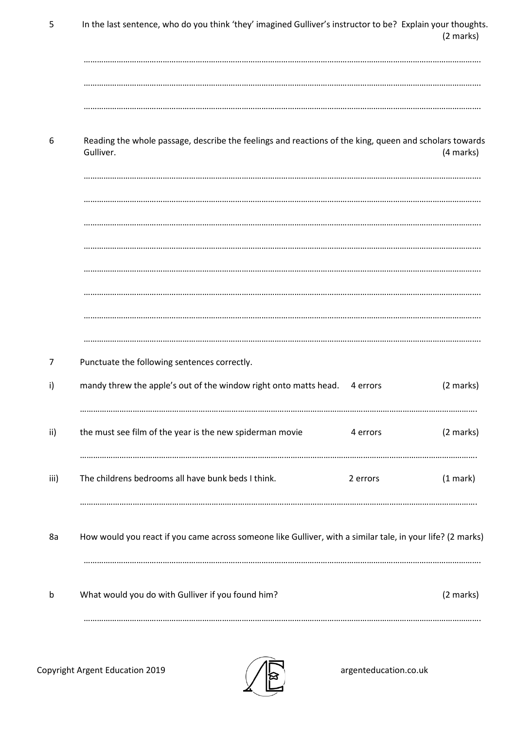| 5    | In the last sentence, who do you think 'they' imagined Gulliver's instructor to be? Explain your thoughts.          | (2 marks) |
|------|---------------------------------------------------------------------------------------------------------------------|-----------|
|      |                                                                                                                     |           |
| 6    | Reading the whole passage, describe the feelings and reactions of the king, queen and scholars towards<br>Gulliver. | (4 marks) |
|      |                                                                                                                     |           |
|      |                                                                                                                     |           |
|      |                                                                                                                     |           |
| 7    | Punctuate the following sentences correctly.                                                                        |           |
| i)   | mandy threw the apple's out of the window right onto matts head.<br>4 errors                                        | (2 marks) |
| ii)  | the must see film of the year is the new spiderman movie<br>4 errors                                                | (2 marks) |
| iii) | The childrens bedrooms all have bunk beds I think.<br>2 errors                                                      | (1 mark)  |
| 8a   | How would you react if you came across someone like Gulliver, with a similar tale, in your life? (2 marks)          |           |
| b    | What would you do with Gulliver if you found him?                                                                   | (2 marks) |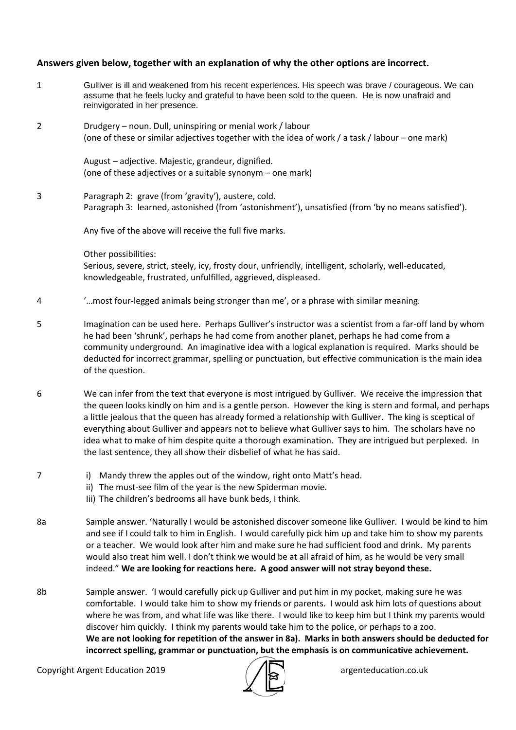#### **Answers given below, together with an explanation of why the other options are incorrect.**

- 1 Gulliver is ill and weakened from his recent experiences. His speech was brave / courageous. We can assume that he feels lucky and grateful to have been sold to the queen. He is now unafraid and reinvigorated in her presence.
- 2 Drudgery noun. Dull, uninspiring or menial work / labour (one of these or similar adjectives together with the idea of work / a task / labour – one mark)

August – adjective. Majestic, grandeur, dignified. (one of these adjectives or a suitable synonym – one mark)

3 Paragraph 2: grave (from 'gravity'), austere, cold. Paragraph 3: learned, astonished (from 'astonishment'), unsatisfied (from 'by no means satisfied').

Any five of the above will receive the full five marks.

Other possibilities:

Serious, severe, strict, steely, icy, frosty dour, unfriendly, intelligent, scholarly, well-educated, knowledgeable, frustrated, unfulfilled, aggrieved, displeased.

- 4 '…most four-legged animals being stronger than me', or a phrase with similar meaning.
- 5 Imagination can be used here. Perhaps Gulliver's instructor was a scientist from a far-off land by whom he had been 'shrunk', perhaps he had come from another planet, perhaps he had come from a community underground. An imaginative idea with a logical explanation is required. Marks should be deducted for incorrect grammar, spelling or punctuation, but effective communication is the main idea of the question.
- 6 We can infer from the text that everyone is most intrigued by Gulliver. We receive the impression that the queen looks kindly on him and is a gentle person. However the king is stern and formal, and perhaps a little jealous that the queen has already formed a relationship with Gulliver. The king is sceptical of everything about Gulliver and appears not to believe what Gulliver says to him. The scholars have no idea what to make of him despite quite a thorough examination. They are intrigued but perplexed. In the last sentence, they all show their disbelief of what he has said.
- 7 i) Mandy threw the apples out of the window, right onto Matt's head.
	- ii) The must-see film of the year is the new Spiderman movie.
	- Iii) The children's bedrooms all have bunk beds, I think.
- 8a Sample answer. 'Naturally I would be astonished discover someone like Gulliver. I would be kind to him and see if I could talk to him in English. I would carefully pick him up and take him to show my parents or a teacher. We would look after him and make sure he had sufficient food and drink. My parents would also treat him well. I don't think we would be at all afraid of him, as he would be very small indeed." **We are looking for reactions here. A good answer will not stray beyond these.**
- 8b Sample answer. 'I would carefully pick up Gulliver and put him in my pocket, making sure he was comfortable. I would take him to show my friends or parents. I would ask him lots of questions about where he was from, and what life was like there. I would like to keep him but I think my parents would discover him quickly. I think my parents would take him to the police, or perhaps to a zoo. **We are not looking for repetition of the answer in 8a). Marks in both answers should be deducted for incorrect spelling, grammar or punctuation, but the emphasis is on communicative achievement.**

Copyright Argent Education 2019 **argent and Convergent Education** 2019

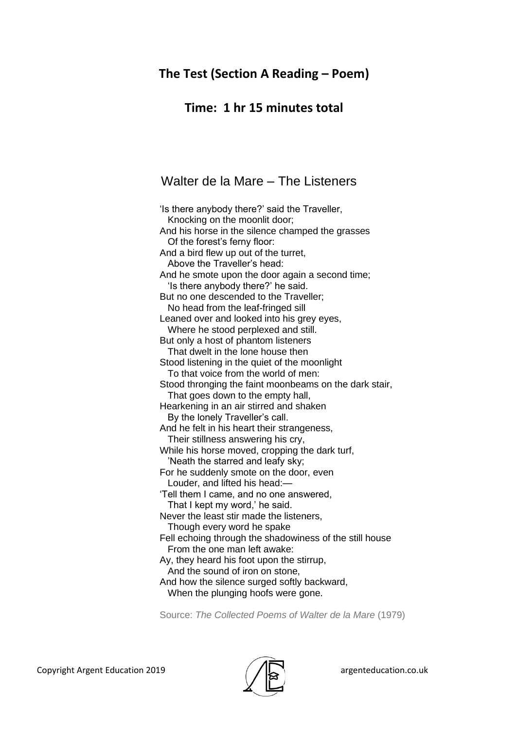### **The Test (Section A Reading – Poem)**

### **Time: 1 hr 15 minutes total**

### Walter de la Mare – The Listeners

'Is there anybody there?' said the Traveller, Knocking on the moonlit door; And his horse in the silence champed the grasses Of the forest's ferny floor: And a bird flew up out of the turret, Above the Traveller's head: And he smote upon the door again a second time; 'Is there anybody there?' he said. But no one descended to the Traveller; No head from the leaf-fringed sill Leaned over and looked into his grey eyes, Where he stood perplexed and still. But only a host of phantom listeners That dwelt in the lone house then Stood listening in the quiet of the moonlight To that voice from the world of men: Stood thronging the faint moonbeams on the dark stair, That goes down to the empty hall. Hearkening in an air stirred and shaken By the lonely Traveller's call. And he felt in his heart their strangeness, Their stillness answering his cry, While his horse moved, cropping the dark turf, 'Neath the starred and leafy sky; For he suddenly smote on the door, even Louder, and lifted his head:— 'Tell them I came, and no one answered, That I kept my word,' he said. Never the least stir made the listeners, Though every word he spake Fell echoing through the shadowiness of the still house From the one man left awake: Ay, they heard his foot upon the stirrup, And the sound of iron on stone, And how the silence surged softly backward, When the plunging hoofs were gone.

Source: *The Collected Poems of Walter de la Mare* (1979)

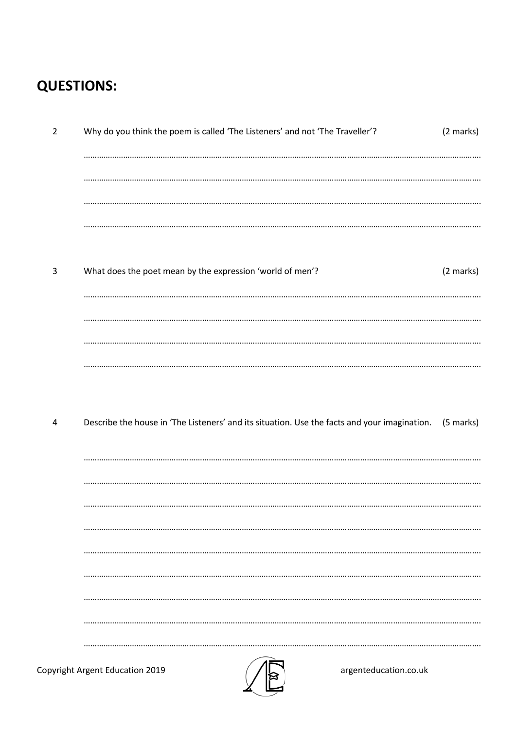## **QUESTIONS:**

| $\overline{2}$ | Why do you think the poem is called 'The Listeners' and not 'The Traveller'?                 | (2 marks) |
|----------------|----------------------------------------------------------------------------------------------|-----------|
|                |                                                                                              |           |
|                |                                                                                              |           |
|                |                                                                                              |           |
| $\mathsf{3}$   | What does the poet mean by the expression 'world of men'?                                    | (2 marks) |
|                |                                                                                              |           |
|                |                                                                                              |           |
|                |                                                                                              |           |
| 4              | Describe the house in 'The Listeners' and its situation. Use the facts and your imagination. | (5 marks) |
|                |                                                                                              |           |
|                |                                                                                              |           |
|                |                                                                                              |           |
|                |                                                                                              |           |
|                |                                                                                              |           |
|                |                                                                                              |           |
|                | Copyright Argent Education 2019<br>argenteducation.co.uk                                     |           |

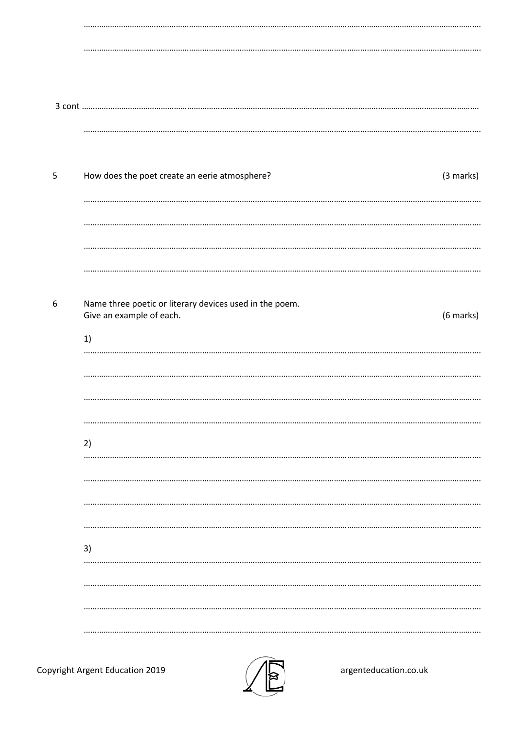| 5 | How does the poet create an eerie atmosphere?<br>(3 marks)                                             |
|---|--------------------------------------------------------------------------------------------------------|
|   |                                                                                                        |
| 6 | Name three poetic or literary devices used in the poem.<br>Give an example of each.<br>(6 marks)<br>1) |
|   |                                                                                                        |
|   | 2)                                                                                                     |
|   |                                                                                                        |
|   | 3)<br>                                                                                                 |
|   |                                                                                                        |



argenteducation.co.uk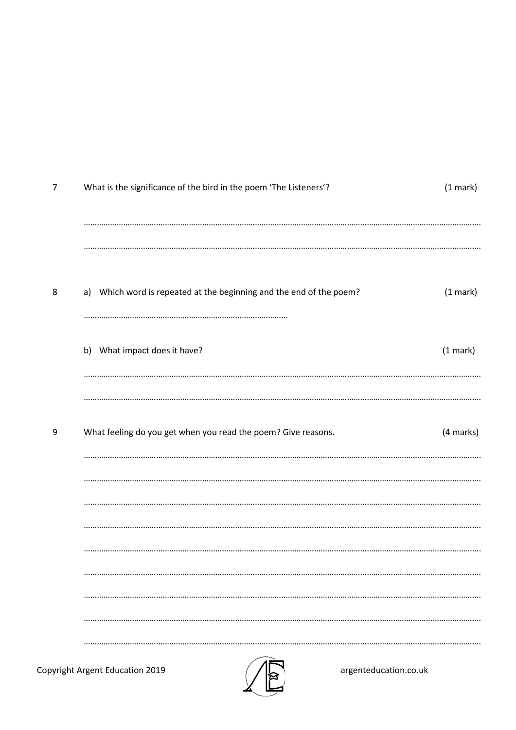| 7 | What is the significance of the bird in the poem 'The Listeners'?   | (1 mark)  |
|---|---------------------------------------------------------------------|-----------|
|   |                                                                     |           |
| 8 | a) Which word is repeated at the beginning and the end of the poem? | (1 mark)  |
|   | b) What impact does it have?                                        | (1 mark)  |
| 9 | What feeling do you get when you read the poem? Give reasons.       | (4 marks) |
|   |                                                                     |           |
|   |                                                                     |           |
|   |                                                                     |           |
|   |                                                                     |           |
|   |                                                                     |           |

**Copyright Argent Education 2019** 



argenteducation.co.uk